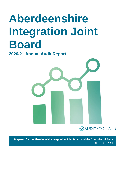# **Aberdeenshire Integration Joint Board**

**2020/21 Annual Audit Report**



**Prepared for the Aberdeenshire Integration Joint Board and the Controller of Audit** November 2021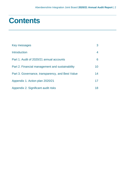### **Contents**

| Key messages                                     | 3  |
|--------------------------------------------------|----|
| Introduction                                     |    |
| Part 1. Audit of 2020/21 annual accounts         | 6  |
| Part 2. Financial management and sustainability  | 10 |
| Part 3. Governance, transparency, and Best Value | 14 |
| Appendix 1. Action plan 2020/21                  | 17 |
| Appendix 2. Significant audit risks              | 18 |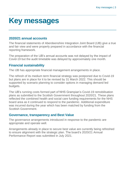### <span id="page-2-0"></span>**Key messages**

#### **2020/21 annual accounts**

The financial statements of Aberdeenshire Integration Joint Board (IJB) give a true and fair view and were properly prepared in accordance with the financial reporting framework.

The preparation of the IJB's annual accounts was not delayed by the impact of Covid-19 but the audit timetable was delayed by approximately one month.

#### **Financial sustainability**

The IJB has appropriate financial management arrangements in place.

The refresh of its medium term financial strategy was postponed due to Covid-19 but plans are in place for it to be revised by 31 March 2022. This should be supported by scenario planning to consider options in managing demand led budgets.

The IJB's running costs formed part of NHS Grampian's Covid-19 remobilisation plans as submitted to the Scottish Government throughout 2020/21. These plans reflected the combined health and social care funding requirements for the NHS board area as it continued to respond to the pandemic. Additional expenditure was incurred during the year which has been matched by funding from the Scottish Government.

#### **Governance, transparency and Best Value**

The governance arrangements introduced in response to the pandemic are appropriate and operate well.

Arrangements already in place to secure best value are currently being refreshed to ensure alignment with the strategic plan. The board's 2020/21 Annual Performance Report was submitted in July 2021.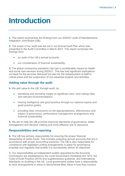### <span id="page-3-0"></span>**Introduction**

**1.** This report summarises the findings from our 2020/21 audit of Aberdeenshire Integration Joint Board (IJB).

**2.** The scope of our audit was set out in our Annual Audit Plan which was presented to the Audit Committee in March 2021. This report comprises the findings from:

- an audit of the IJB's annual accounts
- our consideration of financial sustainability.

**3.** The global coronavirus pandemic has had a considerable impact on health and social care services during 2020/21. This has had significant implications not least for the services delivered but also for the redeployment of staff to critical areas and the suspension of non-essential projects and activities.

#### **Adding value through the audit**

**4.** We add value to the IJB, through audit, by:

- identifying and providing insight on significant risks, and making clear and relevant recommendations
- sharing intelligence and good practice through our national reports and good practice guides
- providing clear conclusions on the appropriateness, effectiveness and impact of governance, performance management arrangements and financial sustainability.

**5.** We aim to help the IJB promote improved standards of governance, better management and decision making and more effective use of resources.

#### **Responsibilities and reporting**

**6.** The IJB has primary responsibility for ensuring the proper financial stewardship of public funds. This includes preparing annual accounts that are in accordance with proper accounting practices. The IJB is also responsible for compliance with legislation putting arrangements in place for governance, propriety and regularity that enable it to successfully deliver its objectives.

**7.** Our responsibilities as independent auditor appointed by the Accounts Commission are established by the Local Government (Scotland) Act 1973, the [Code of Audit Practice \(2016\)](http://www.audit-scotland.gov.uk/report/code-of-audit-practice-2016) and supplementary guidance, and International Standards on Auditing in the UK. Local government bodies have a responsibility to have arrangements in place to demonstrate Best Value in how they conduct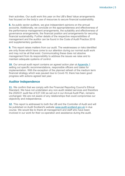their activities. Our audit work this year on the IJB's Best Value arrangements has focused on the body's use of resources to secure financial sustainability.

**8.** As public sector auditors, we give independent opinions on the annual accounts. Additionally, we conclude on the appropriateness and effectiveness of the performance management arrangements, the suitability and effectiveness of governance arrangements, the financial position and arrangements for securing financial sustainability. Further details of the respective responsibilities of management and the auditor can be found in the Code of Audit Practice 2016 and supplementary guidance.

**9.** This report raises matters from our audit. The weaknesses or risks identified are only those which have come to our attention during our normal audit work and may not be all that exist. Communicating these does not absolve management from its responsibility to address the issues we raise and to maintain adequate systems of control.

**10.** Our annual audit report contains an agreed action plan at [Appendix 1](#page-16-0) setting out specific recommendations, responsible officers and dates for implementation. With the exception of the planned refresh of the medium term financial strategy which was paused due to Covid-19, there has been good progress with actions agreed last year.

#### **Auditor Independence**

**11.** We confirm that we comply with the Financial Reporting Council's Ethical Standard. We have not undertaken any non-audit related services and therefore the 2020/21 audit fee of £27,330 as set out in our Annual Audit Plan, remains unchanged. We are not aware of any relationships that could compromise our objectivity and independence.

**12.** This report is addressed to both the IJB and the Controller of Audit and will be published on Audit Scotland's website [www.audit-scotland.gov.uk](http://www.audit-scotland.gov.uk/) in due course. We would like to thank all management and staff who have been involved in our work for their co-operation and assistance during the audit.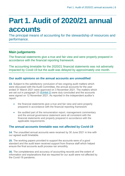## <span id="page-5-0"></span>**Part 1. Audit of 2020/21 annual accounts**

The principal means of accounting for the stewardship of resources and performance.

### **Main judgements**

The financial statements give a true and fair view and were properly prepared in accordance with the financial reporting framework.

The accounting timetable for the 2020/21 financial statements was not adversely impacted by Covid-19 but the audit was delayed by approximately one month.

#### **Our audit opinions on the annual accounts are unmodified**

**13.** Subject to the satisfactory conclusion of two ongoing audit matters which were discussed with the Audit Committee, the annual accounts for the year ended 31 March 2021 were approved on 3 November 2021. The matters which are set out in paragraph 23 [\(Exhibit](#page-6-0) 2) were duly concluded and the accounts were signed on 12 November 2021. As reported in the independent auditor's report:

- the financial statements give a true and fair view and were properly prepared in accordance with the financial reporting framework
- the audited part of the remuneration report, management commentary and the annual governance statement were all consistent with the financial statements and properly prepared in accordance with the applicable requirements.

#### **The annual accounts timetable was not affected by Covid-19**

**14.** The unaudited annual accounts were received by 30 June 2021 in line with our agreed audit timetable.

**15.** The working papers provided to support the accounts were of a good standard and the audit team received support from finance staff which helped ensure the final accounts audit process ran smoothly.

**16.** The completeness and accuracy of accounting records and the extent of information and explanations that we required for our audit were not affected by the Covid-19 pandemic.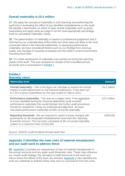#### **Overall materiality is £5.4 million**

**17.** We apply the concept of materiality in both planning and performing the audit and in evaluating the effect of any identified misstatements on the audit. We identify a benchmark on which to base overall materiality such as gross expenditure and apply what we judge to be the most appropriate percentage level for calculating materiality values.

**18.** The determination of materiality is based on professional judgement and is informed by our understanding of the entity and what users are likely to be most concerned about in the financial statements. In assessing performance materiality, we have considered factors such as our findings from previous audits, any changes in business processes and the entity's control environment including fraud risks.

**19.** Our initial assessment of materiality was carried out during the planning phase of the audit. This was reviewed on receipt of the unaudited annual accounts and is summarised in [Exhibit](#page-6-0) 1.

#### <span id="page-6-0"></span>**Exhibit 1 Materiality values**

| <b>Materiality level</b>                                                                                                                                                                                                                                                                                                                                                  | <b>Amount</b> |
|---------------------------------------------------------------------------------------------------------------------------------------------------------------------------------------------------------------------------------------------------------------------------------------------------------------------------------------------------------------------------|---------------|
| <b>Overall materiality - This is the figure we calculate to assess the overall</b><br>impact of audit adjustments on the financial statements. It has been set<br>at 1.5% of gross expenditure for the year ended 31 March 2021.                                                                                                                                          | £5.4 million  |
| <b>Performance materiality</b> - This acts as a trigger point. If the aggregate<br>of errors identified during the financial statements audit exceeds<br>performance materiality this would indicate that further audit procedures<br>should be considered. Using our professional judgement, we have<br>calculated performance materiality at 60% of overall materiality | £3.2 million  |
| <b>Reporting threshold</b> - We are required to report to those charged with<br>governance on all unadjusted misstatements more than the 'reporting<br>threshold' amount. This has been calculated at 5% of overall materiality<br>subject to a maximum limit of £250,000                                                                                                 | £250,000      |

Source: 2020/21 Audit Scotland Annual Audit Plan

#### **[Appendix 2](#page-17-0) identifies the main risks of material misstatement and our audit work to address these**

**20.** [Appendix 2](#page-17-0) provides our assessment of risks of material misstatement in the annual accounts and any wider audit dimension risks. These risks influence our overall audit strategy, the allocation of staff resources to the audit and inform where the efforts of the team are directed. [Appendix 2](#page-17-0) also identifies the work we undertook to address these risks and our conclusions from this work.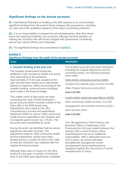#### **Significant findings on the annual accounts**

**21.** International Standard on Auditing (UK) 260 requires us to communicate significant findings from the audit to those charged with governance, including our view about the qualitative aspects of the body's accounting practices.

**22.** It is our responsibility to request that all misstatements, other than those below the reporting threshold, are corrected, although the final decision on making the correction lies with those charged with governance considering advice from senior officers and materiality.

**23.** The significant findings are summarised in [Exhibit 2.](#page-7-0)

<span id="page-7-0"></span>

| <b>Exhibit 2</b><br>Significant findings from the audit of the annual accounts                                                                                                                                                                                                                                                                                                                   |                                                                                                                                                                                                                |  |  |
|--------------------------------------------------------------------------------------------------------------------------------------------------------------------------------------------------------------------------------------------------------------------------------------------------------------------------------------------------------------------------------------------------|----------------------------------------------------------------------------------------------------------------------------------------------------------------------------------------------------------------|--|--|
| <b>Issue</b>                                                                                                                                                                                                                                                                                                                                                                                     | <b>Resolution</b>                                                                                                                                                                                              |  |  |
| 1. Unspent funding at the year end<br>The Scottish Government funded the<br>additional costs incurred by health and social<br>care responding to the pandemic.<br>Approximately £15.5m was unspent at the<br>year end and was carried as an earmarked<br>balance in reserves. When accounting for the<br>unspent funding, some erroneous postings<br>were made in the financial ledger.          | The audited accounts have been amended.<br>Including the original adjustment and the<br>correcting entries, the following postings<br>were made:                                                               |  |  |
|                                                                                                                                                                                                                                                                                                                                                                                                  | Debit entries (reducing income) (£000):<br>Taxation/non-specific grant income £15,852<br>Older People Services income £512                                                                                     |  |  |
|                                                                                                                                                                                                                                                                                                                                                                                                  | total £16,364                                                                                                                                                                                                  |  |  |
| This matter came to light when we were<br>concluding the audit of NHS Grampian's<br>group accounts which includes a share of the<br>three IJBs in the NHS board area.<br>Adjustments were made to the IJB's<br>comprehensive income and expenditure<br>statement (CIES) to reduce 'other community<br>health service expenditure' and 'taxation and<br>non-specific grant income' by £15.9m. The | Credit entries (reducing expenditure) (£000)<br>other community health services £11,532<br>management and business services £4,017<br>adult services £815<br>total £16,364                                     |  |  |
| accounts were resubmitted for audit.<br>During the audit, we identified that the above<br>adjustment was also incorrect. The<br>adjustment made to 'other community health                                                                                                                                                                                                                       | The IJB appointed a Chief Finance and<br>Business Officer in September 2021.<br>Previously the role was rotated between the<br>partners with a senior finance officer<br>undertaking the role as an additional |  |  |

service expenditure' should have been spread across a number of lines in the CIES so that the correction was matched with the original erroneous entries.

Although there was no impact on the IJB's surplus for the year, a number of individual lines in the CIES were significantly misstated. responsibility. With a dedicated resource now in place, we would anticipate strengthened management review arrangements being implemented to safeguard against the recurrence of similar misstatements in future.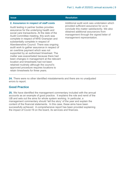#### **2. Assurance in respect of staff costs**

Audit testing in partner bodies provides assurance for the underlying health and social care transactions. At the date of the Audit Committee meeting, this work was complete in respect of NHS Grampian and substantially complete in respect of Aberdeenshire Council. There was ongoing audit work to gather assurance in respect of an overtime payment which was not supported by an authorised timesheet. The matter was exacerbated because there had been changes in management at the relevant location and timesheets had not been retained routinely although the council's approved procedure requires locations to retain timesheets for three years.

#### **Issue Resolution**

Additional audit work was undertaken which provided sufficient assurance for us to conclude this matter satisfactorily. We also obtained additional assurances from management through the signed letter of management representation.

**24.** There were no other identified misstatements and there are no unadjusted errors to report.

#### **Good Practice**

**25.** We have identified the management commentary included with the annual accounts as an example of good practice. It explains the role and remit of the IJB and sets out the aims for whole system working. In particular, a management commentary should 'tell the story' of the year and explain the content of the financial statements. In this case, these aims have been successfully achieved. A comprehensive report has been provided explaining the impact of Covid-19 on the board, its services and finances.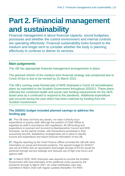## <span id="page-9-0"></span>**Part 2. Financial management and sustainability**

Financial management is about financial capacity, sound budgetary processes and whether the control environment and internal controls are operating effectively. Financial sustainability looks forward to the medium and longer term to consider whether the body is planning effectively to continue to deliver its services.

### **Main judgements**

The IJB has appropriate financial management arrangements in place.

The planned refresh of the medium-term financial strategy was postponed due to Covid-19 but is due to be revised by 31 March 2022.

The IJB's running costs formed part of NHS Grampian's Covid-19 remobilisation plans as submitted to the Scottish Government throughout 2020/21. These plans reflected the combined health and social care funding requirements for the NHS board area as it continued to respond to the pandemic. Additional expenditure was incurred during the year which has been matched by funding from the Scottish Government.

#### **The 2020/21 budget included planned savings to address the funding gap**

**26.** The IJB does not have any assets, nor does it directly incur expenditure or employ staff, although the position of Chief Officer is regarded as staff in accordance with regulations. All IJB funding and expenditure is received and incurred by Aberdeenshire Council and NHS Grampian, as the partner bodies, with transactions processed in their accounting records. Satisfactory arrangements are in place to identify income and expenditure and report financial information to the IJB.

**27.** Regular reporting by the Chief Finance Officer provided the IJB with clear information on actual and forecast positions. The agreed budget for 2020/21 was set at £335m with an assumption that budget savings of £5.5m would be achieved through service redesign and reduced use of high cost locum and agency staff.

**28.** In March 2020, NHS Grampian was required to provide the Scottish Government with best estimates of the additional costs caused by the pandemic through to March 2021. An initial mobilisation plan was submitted in March 2020 with regular updates thereafter. For NHS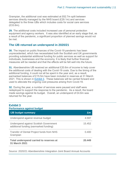Grampian, the additional cost was estimated at £62.7m split between services directly managed by the NHS board (£29.1m) and services delegated to the three IJBs which includes costs for social care services (£33.6m).

**29.** The additional costs included increased use of personal protection equipment and agency workers. It was also identified at an early stage that, as a result of the pandemic, a significant proportion of planned savings would not be met.

#### **The IJB returned an underspend in 2020/21**

**30.** The impact on public finances of the Covid-19 pandemic has been unprecedented, which has necessitated both the Scottish and UK governments providing substantial additional funding for public services as well as support for individuals, businesses and the economy. It is likely that further financial measures will be needed and that the effects will be felt well into the future. 

**31.** Aberdeenshire IJB received an additional £20.6m of income to help cover the additional costs of dealing with the Covid-19 costs. Due to the timing of the additional funding, it could not all be spent in the year and, as a result, earmarked balances of £15.5m have been included in reserves at 31 March 2021. This is shown in Exhibit 3. These balances will be carried forward and used to alleviate the ongoing cost pressures arising from Covid-19.

**32.** During the year, a number of services were paused and staff were redeployed to support the response to the pandemic. As a result, the board made savings against its budget. Overall, an underspend of £4.6m was returned for the year.

#### **Exhibit 3 Performance against budget**

| <b>IJB budget summary</b>                                                        | £m     |
|----------------------------------------------------------------------------------|--------|
| Underspend against revenue budget                                                | 4.597  |
| Underspend against Scottish Government<br>additional funding (earmarked funding) | 15.452 |
| Transfer of Dental Project funds from NHS<br>Grampian                            | 0.400  |
| Total underspend carried to reserves at<br>31 March 2021                         | 20.449 |

Source: 2020/21 Aberdeenshire Integration Joint Board Annual Accounts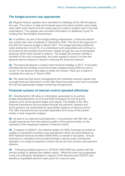#### **The budget process was appropriate**

**33.** Regular finance updates were submitted to meetings of the IJB throughout the year. The outturn to date and forecast year-end outturn position were made clear within each report and the actual year-end outturn position was in line with expectations. The updates also provided information on additional Covid-19 funding from the Scottish Government.

**34.** In addition, as part of the budget setting preparations, a financial outlook and outline plan was considered in December 2020. This led to the approval of the 2021/22 revenue budget in March 2021. The budget excludes additional costs arising from Covid-19. It is understood such expenditure will continue to be funded by the Scottish Government, initially through the use of earmarked balances which were carried to reserve. The budget did however identify a shortfall of £4m and consequently, the board agreed to draw £1m from the general reserve balance to assist in reducing the financial pressure.

**35.** The board developed a medium term financial strategy in 2017. It had been intended that the strategy would have been updated during 2020 but due to Covid-19, the decision was taken to delay the refresh. Plans are in place to complete this work by 31 March 2022.

**36.** We observed that senior management and members received regular and accurate financial information on the IJB's financial position and have concluded the IJB has appropriate budget monitoring arrangements.

#### **Financial systems of internal control operated effectively**

**37.** Aberdeenshire IJB relies on information generated by its partner bodies (Aberdeenshire Council and NHS Grampian) for key financial systems such as the general ledger and payroll. The details of the IJB's financial transactions are processed through the partners' systems and those partners are responsible for appropriate systems of internal control. The IJB's transactions are recorded separately from those of the partner bodies in their respective ledgers.

**38.** As part of our planned audit approach, in accordance with ISA 402, we sought assurances from the external auditor of the partner bodies on the operation of the respective systems of internal control.

**39.** In respect of 2020/21, the external auditor for NHS Grampian provided an update on payments to primary care practitioners which are administered by NHS National Services Scotland (NHS NSS) on behalf of all boards. Annual assurance is intended to be provided through a service audit covering the operation of a range of expected controls across the four primary care payment streams.

**40.** Following qualified opinions in 2019/20, NHS NSS has worked with the service auditor to address the matters raised. While this work has progressed, it was not sufficiently developed in respect of the financial year 2020/21 and therefore unqualified opinions were given for a second year.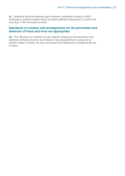**41.** Additional audit procedures were however undertaken locally by NHS Grampian's external auditor which provided sufficient assurance to confirm the accuracy of the amounts involved.

#### **Standards of conduct and arrangements for the prevention and detection of fraud and error are appropriate**

**42.** The IJB does not maintain its own policies relating to the prevention and detection of fraud and error but instead it has adopted those in place at its partner bodies. Overall, we have concluded that satisfactory arrangements are in place.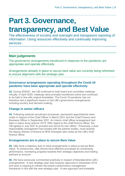## <span id="page-13-0"></span>**Part 3. Governance,**

### **transparency, and Best Value**

The effectiveness of scrutiny and oversight and transparent reporting of information. Using resources effectively and continually improving services.

### **Main judgements**

The governance arrangements introduced in response to the pandemic are appropriate and operate effectively.

Arrangements already in place to secure best value are currently being refreshed to ensure alignment with the strategic plan.

#### **Governance arrangements operating throughout the Covid-19 pandemic have been appropriate and operate effectively**

**43.** During 2020/21, the IJB continued to hold board and committee meetings virtually. In April 2020, meetings were promptly transferred online and continued to be held in line with original timetables. The Covid-19 pandemic has not therefore had a significant impact on the IJB's governance arrangements, including scrutiny and decision-making.

#### **Change in senior officers**

**44.** Following external recruitment processes, permanent appointments were made in respect of the Chief Officer in March 2021 and the Chief Finance and Business Officer in September 2021. An interim chief officer arrangement had been in place since autumn 2019. With regard to the chief finance officer, the IJB agreed in July 2021 to proceed and recruit its own officer. Previously, a dual responsibility arrangement had existed with the partner bodies, most recently the deputy director of finance at NHS Grampian also acted as the IJB's chief finance officer.

#### **Arrangements are in place to secure Best Value**

**45.** IJBs have a statutory duty to have arrangements in place to secure Best Value. To achieve this, IJBs should have effective processes for scrutinising performance, monitoring progress towards their strategic objectives and holding partners to account.

**46.** We have previously commented positively in respect of Aberdeenshire IJB's arrangements. A new strategic plan was however approved in December 2019 and work is ongoing to refresh the board's performance management framework in line with the new strategic plan. A new approach and timetable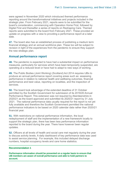were agreed in November 2020 which introduced themed performance reporting around the transformational initiatives and projects included in the strategic plan. From February 2021, reports were to be submitted for the board's consideration, commencing with Operation Home First, followed by Digital First and thereafter a series of reports on Reshaping Care. Themed reports were submitted to the board from February 2021. These provided an update on progress with a view to providing a performance report at a later date.

**47.** The board also has an established process of publishing a medium term financial strategy and an annual workforce plan. These too will be subject to revision in light of the experiences from the pandemic to ensure they support the new strategic plan.

#### **Annual performance report**

**48.** The pandemic is expected to have had a substantial impact on performance measures, particularly for services which have been temporarily suspended, are operating at a reduced level or have had to adapt to new ways of working. 

**49.** The Public Bodies (Joint Working) (Scotland) Act 2014 requires IJBs to produce an annual performance report covering areas such as: assessing performance in relation to national health and wellbeing outcomes, financial performance and best value, reporting on localities, and the inspection of services.

**50.** The board took advantage of the extended deadline of 31 October permitted by the Scottish Government for submission of its 2019/20 Annual Performance Report. This extension was not required by Aberdeenshire in 2020/21 as the board approved and submitted its 2020/21 report by 31 July 2021. The national performance data usually required for the report is not yet fully available and therefore the Scottish Government permitted the national performance indicators to be based on 2020 calendar data rather than 2020/21 financial year.

**51.** With restrictions on national performance information, the local redeployment of staff and the implementation of a new framework locally to support the strategic plan, there has been less performance information reported to the board during the year. There have however been regular updates.

**52.** Officers at all levels of health and social care met regularly during the year to discuss activity levels. A daily dashboard of key performance data was used to assist service planning. For example, this included delayed discharge numbers, hospital occupancy levels and care home statistics.

#### **Recommendation 1**

**Performance information should be presented on a regular basis to ensure that IJB members are aware of overall performance and able to hold partners to account.**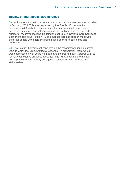#### **Review of adult social care services**

**53.** An independent, national review of adult social care services was published in February 2021. This was requested by the Scottish Government in September 2020 with the primary aim of the review being to recommend improvements to adult social care services in Scotland. The review made a number of recommendations including the set-up of a National Care Service for Scotland that is equal to the NHS and that self-directed support must work better for people with decisions being based on their needs, rights and preferences.

**54.** The Scottish Government consulted on the recommendations in summer 2021 to which the IJB submitted a response. In preparation, there was a workshop session with board members and the board met in October 2021 to formally consider its proposed response. The IJB will continue to monitor developments and is actively engaged in discussions with partners and stakeholders.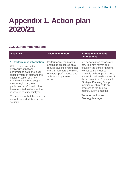## <span id="page-16-0"></span>**Appendix 1. Action plan 2020/21**

#### **2020/21 recommendations**

| <b>Issue/risk</b>                                                                                                                                                                                                                                                                                                                            | <b>Recommendation</b>                                                                                                                                                                  | <b>Agreed management</b><br>action/timing                                                                                                                                                                                                                                                                                                    |
|----------------------------------------------------------------------------------------------------------------------------------------------------------------------------------------------------------------------------------------------------------------------------------------------------------------------------------------------|----------------------------------------------------------------------------------------------------------------------------------------------------------------------------------------|----------------------------------------------------------------------------------------------------------------------------------------------------------------------------------------------------------------------------------------------------------------------------------------------------------------------------------------------|
| 1. Performance information<br>With restrictions on the<br>availability of national<br>performance data, the local<br>redeployment of staff and the<br>implementation of a new<br>framework locally to support<br>the strategic plan, less<br>performance information has<br>been reported to the board in<br>respect of this financial year. | Performance information<br>should be presented on a<br>regular basis to ensure that<br>the IJB members are aware<br>of overall performance and<br>able to hold partners to<br>account. | IJB performance reports are<br>now in a new format and<br>focus on the transformational<br>workstreams under our<br>strategic delivery plan. These<br>are still in their early stages of<br>development but follow each<br><b>Strategic Planning Group</b><br>meeting which reports on<br>progress to the IJB, so<br>approx. every 2 months. |
| There is a risk that the board is<br>not able to undertake effective<br>scrutiny.                                                                                                                                                                                                                                                            |                                                                                                                                                                                        | <b>Transformation and</b><br><b>Strategy Manager</b>                                                                                                                                                                                                                                                                                         |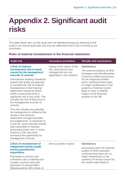### <span id="page-17-0"></span>**Appendix 2. Significant audit risks**

The table below sets out the audit risks we identified during our planning of the audit in our annual audit plan and how we addressed each risk in arriving at our conclusion.

#### **Risks of material misstatement in the financial statements**

| <b>Audit risk</b>                                                                                                                                                                                                                                                                                                                                       | <b>Assurance procedure</b>                                                                                 | <b>Results and conclusions</b>                                                                                                                                                                                                                                                                                                  |
|---------------------------------------------------------------------------------------------------------------------------------------------------------------------------------------------------------------------------------------------------------------------------------------------------------------------------------------------------------|------------------------------------------------------------------------------------------------------------|---------------------------------------------------------------------------------------------------------------------------------------------------------------------------------------------------------------------------------------------------------------------------------------------------------------------------------|
| <b>1.Risk of material</b><br>misstatement due to fraud<br>caused by the management<br>override of controls                                                                                                                                                                                                                                              | Owing to the nature of this<br>risk, assurances from<br>management are not<br>applicable in this instance. | <b>Satisfactory</b><br>The external auditors of NHS<br><b>Grampian and Aberdeenshire</b><br>Council provided assurances<br>for the respective bodies<br>which confirmed there were<br>no major weaknesses in the<br>systems of internal control<br>likely to have a material<br>impact on the financial<br>position of the IJB. |
| <b>International Auditing Standards</b><br>require that audits are planned<br>to consider the risk of material<br>misstatement in the financial<br>statements caused by fraud,<br>which is presumed to be a<br>significant risk in any audit. This<br>includes the risk of fraud due to<br>the management override of<br>controls.                      |                                                                                                            |                                                                                                                                                                                                                                                                                                                                 |
| This risk includes the potential<br>for management to influence the<br>results in the financial<br>statements through estimates<br>and judgements. In response to<br>Covid-19, some internal controls<br>were amended to maintain<br>processing levels and, in some<br>instances, this may have<br>increased the opportunity for<br>management override |                                                                                                            |                                                                                                                                                                                                                                                                                                                                 |
| 2. Risk of misstatement of                                                                                                                                                                                                                                                                                                                              | Service auditor reports.                                                                                   | <b>Satisfactory</b>                                                                                                                                                                                                                                                                                                             |
| independent family health<br>service practitioners'<br>expenditure<br>Payments to primary care<br>contractors are a material and<br>complex account area with<br>payments of around £90m<br>Aberdeenshire IJB's share of                                                                                                                                |                                                                                                            | Assurances from the external<br>auditor of NHS Grampian<br>confirmed that there are no<br>major weaknesses in the<br>systems of internal control for<br>the health board likely to                                                                                                                                              |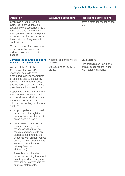| <b>Audit risk</b>                                                                                                                                                                                                                                                                       | <b>Assurance procedure</b>             | <b>Results and conclusions</b>                         |
|-----------------------------------------------------------------------------------------------------------------------------------------------------------------------------------------------------------------------------------------------------------------------------------------|----------------------------------------|--------------------------------------------------------|
| Grampian's total of £250m).<br>Some payment verification<br>activities were suspended as a<br>result of Covid-19 and interim<br>arrangements were put in place<br>to protect services and ensure<br>the continuity of payments to<br>contractors.                                       |                                        | have a material impact on the<br><b>IJB</b>            |
| There is a risk of misstatement<br>in the annual accounts due to<br>reduced payment verification<br>checks.                                                                                                                                                                             |                                        |                                                        |
| <b>3. Presentation and disclosure</b><br>of Covid-19 transactions                                                                                                                                                                                                                       | National guidance will be<br>followed. | Satisfactory.<br>Financial disclosures in the          |
| As part of the Scottish<br><b>Government's Covid-19</b><br>response, councils have<br>distributed significant amounts<br>of stimulus and sustainability<br>funding. With regard to IJBs,<br>this included payments to care<br>providers such as care homes.                             | Discussions at IJB CFO<br>group.       | annual accounts are in line<br>with national guidance. |
| Depending on the nature of the<br>arrangement, the IJB/council<br>acts as either a principal or an<br>agent and consequently,<br>different accounting treatment is<br>applies:                                                                                                          |                                        |                                                        |
| as principal – funds should<br>be recorded through the<br>primary financial statements<br>on an accruals basis                                                                                                                                                                          |                                        |                                                        |
| on an agency basis - it is<br>$\bullet$<br>recommended (but not<br>mandatory) that material<br>receipts and payments are<br>disclosed as a note to the<br>accounts with an appropriate<br>audit trail (ie such payments<br>are not included in the<br>primary financial<br>statements). |                                        |                                                        |

There is a risk that the correct accounting treatment is not applied resulting in a material misstatement in the financial statements.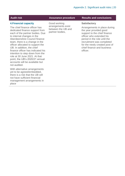#### **4.Financial capacity**

The chief finance officer has dedicated finance support from each of the partner bodies. Due to internal changes in the Aberdeenshire Council finance team, there is a change in the officer allocated to support the IJB. In addition, the chief finance officer has indicated his intention to step down from the role at 30 June 2021. At that point, the IJB's 2020/21 annual accounts will be available but not audited.

With alternative arrangements yet to be agreed/embedded, there is a risk that the IJB will not have sufficient financial management arrangements in place

Good working arrangements exist between the IJB and partner bodies,

#### **Audit risk Assurance procedure Results and conclusions**

#### **Satisfactory**

Arrangements in place during the year provided good support to the chief finance officer who extended his period in the role until the recruitment was completed for the newly created post of chief finance and business officer.